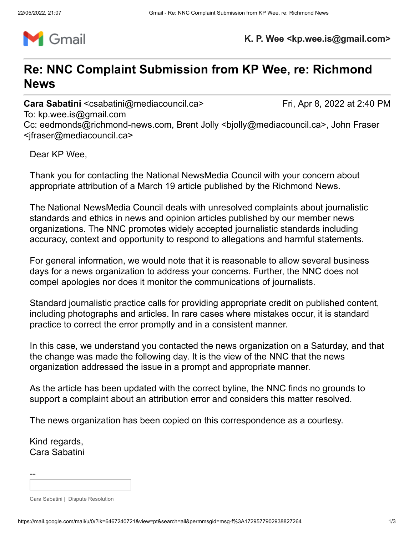

**K. P. Wee <kp.wee.is@gmail.com>**

# **Re: NNC Complaint Submission from KP Wee, re: Richmond News**

**Cara Sabatini** <csabatini@mediacouncil.ca> Fri, Apr 8, 2022 at 2:40 PM

To: kp.wee.is@gmail.com

Cc: eedmonds@richmond-news.com, Brent Jolly <br/>bjolly@mediacouncil.ca>, John Fraser <jfraser@mediacouncil.ca>

Dear KP Wee,

Thank you for contacting the National NewsMedia Council with your concern about appropriate attribution of a March 19 article published by the Richmond News.

The National NewsMedia Council deals with unresolved complaints about journalistic standards and ethics in news and opinion articles published by our member news organizations. The NNC promotes widely accepted journalistic standards including accuracy, context and opportunity to respond to allegations and harmful statements.

For general information, we would note that it is reasonable to allow several business days for a news organization to address your concerns. Further, the NNC does not compel apologies nor does it monitor the communications of journalists.

Standard journalistic practice calls for providing appropriate credit on published content, including photographs and articles. In rare cases where mistakes occur, it is standard practice to correct the error promptly and in a consistent manner.

In this case, we understand you contacted the news organization on a Saturday, and that the change was made the following day. It is the view of the NNC that the news organization addressed the issue in a prompt and appropriate manner.

As the article has been updated with the correct byline, the NNC finds no grounds to support a complaint about an attribution error and considers this matter resolved.

The news organization has been copied on this correspondence as a courtesy.

Kind regards, Cara Sabatini

--

Cara Sabatini | Dispute Resolution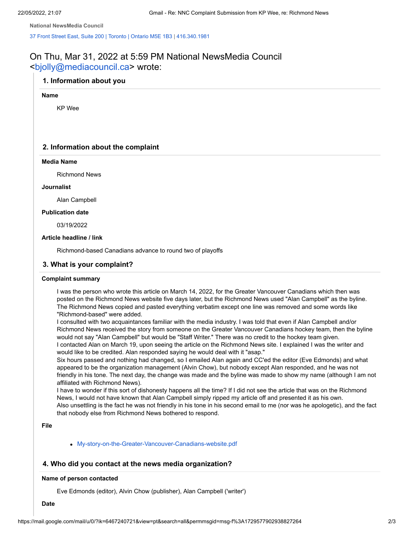**National NewsMedia Council**

37 Front Street East, Suite 200 | [Toronto](https://www.google.com/maps/search/37+Front+Street+East,+Suite+200+%7C+Toronto+%7C+Ontario+M5E+1B3?entry=gmail&source=g) | Ontario M5E 1B3 | [416.340.1981](tel:416.340.1987%20x2)

# On Thu, Mar 31, 2022 at 5:59 PM National NewsMedia Council <[bjolly@mediacouncil.ca>](mailto:bjolly@mediacouncil.ca) wrote:

# **1. Information about you**

#### **Name**

KP Wee

# **2. Information about the complaint**

#### **Media Name**

Richmond News

#### **Journalist**

Alan Campbell

#### **Publication date**

03/19/2022

# **Article headline / link**

Richmond-based Canadians advance to round two of playoffs

#### **3. What is your complaint?**

#### **Complaint summary**

I was the person who wrote this article on March 14, 2022, for the Greater Vancouver Canadians which then was posted on the Richmond News website five days later, but the Richmond News used "Alan Campbell" as the byline. The Richmond News copied and pasted everything verbatim except one line was removed and some words like "Richmond-based" were added.

I consulted with two acquaintances familiar with the media industry. I was told that even if Alan Campbell and/or Richmond News received the story from someone on the Greater Vancouver Canadians hockey team, then the byline would not say "Alan Campbell" but would be "Staff Writer." There was no credit to the hockey team given. I contacted Alan on March 19, upon seeing the article on the Richmond News site. I explained I was the writer and would like to be credited. Alan responded saying he would deal with it "asap."

Six hours passed and nothing had changed, so I emailed Alan again and CC'ed the editor (Eve Edmonds) and what appeared to be the organization management (Alvin Chow), but nobody except Alan responded, and he was not friendly in his tone. The next day, the change was made and the byline was made to show my name (although I am not affiliated with Richmond News).

I have to wonder if this sort of dishonesty happens all the time? If I did not see the article that was on the Richmond News, I would not have known that Alan Campbell simply ripped my article off and presented it as his own. Also unsettling is the fact he was not friendly in his tone in his second email to me (nor was he apologetic), and the fact that nobody else from Richmond News bothered to respond.

#### **File**

[My-story-on-the-Greater-Vancouver-Canadians-website.pdf](https://u14145716.ct.sendgrid.net/ls/click?upn=QavgQ1TMRzHlmNBVTBh0t41NjmoMgiSYL6wBqeYShOAwU2inB6FbDL52FaEP6h6V5KW5wKPUIWV3Stiesx3oex-2BcApN0grpvDMoqsXM5TxDmxqdCyDA-2FLUUuKfYRCE6-2FlmXtEQMhPqTCisSFTMwJ4BbnKll1d8DE17XdgqCvMjb6aaVL3DT-2FBb0UjTGlAlKw1ryHswmQLSdo7OlF3V7lqb9ir7dYMC-2BTkYi9TpqHdFoHOeLZpyv8MNWEDE9CpR2AwHW0-2BVCjTN3-2FQUOKnIH2z-2BiLh-2Bl-2BoLepyObQ9NYg5us-3DvTew_OT28eME3vFonFn1XzQ2aACXedPR84LJ7Y8l7srzmDr2dgnI8dtT1fK3QnUrEzhs6eyyJ1HuyilMFS38gA8mRU-2BF-2B5PPwrLE4zfYVWmelTzNiv-2FPyE9qX517OBfdiekBE4uFBz2y-2BQq3j3I1zT4btyvep4VXYovhClDkMnQg77FpndEX1bNgmvNZaSHNE-2BxkDjP41CDUcFYZs5B6SIgrBizdXJFTRkjvRlItqyjpUiN8-3D)

# **4. Who did you contact at the news media organization?**

# **Name of person contacted**

Eve Edmonds (editor), Alvin Chow (publisher), Alan Campbell ('writer')

**Date**